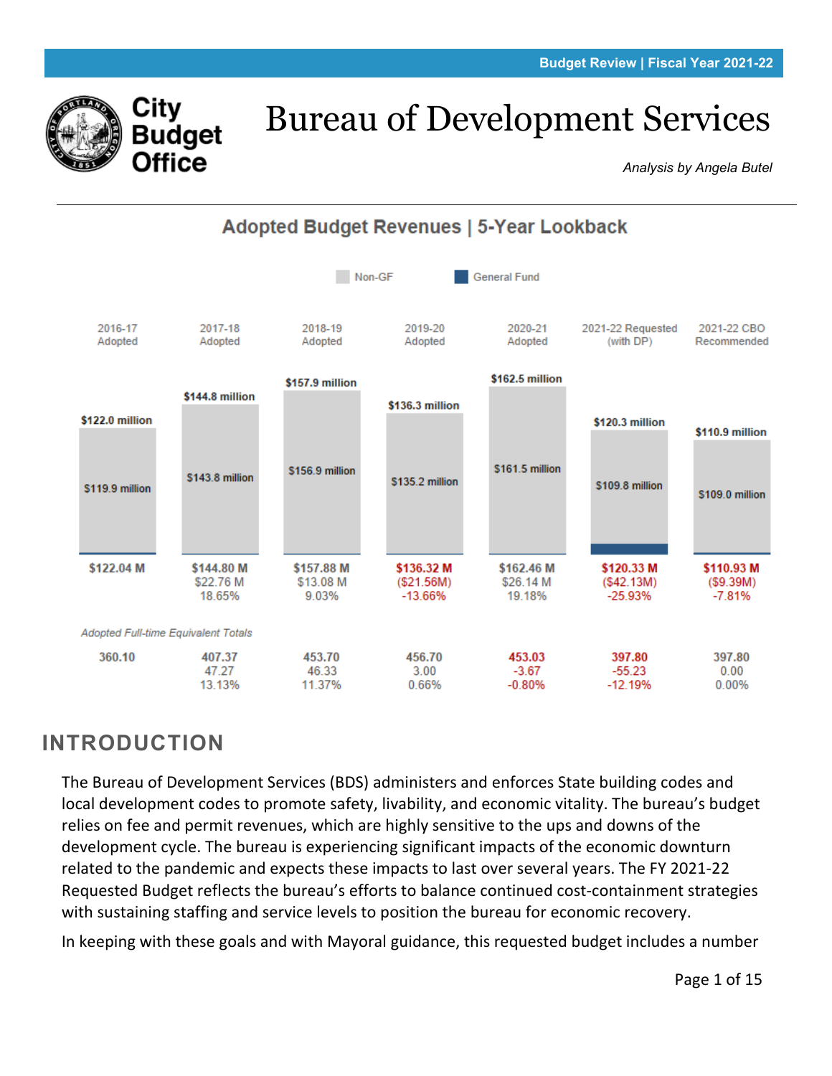

# Bureau of Development Services

*Analysis by Angela Butel*



# **INTRODUCTION**

The Bureau of Development Services (BDS) administers and enforces State building codes and local development codes to promote safety, livability, and economic vitality. The bureau's budget relies on fee and permit revenues, which are highly sensitive to the ups and downs of the development cycle. The bureau is experiencing significant impacts of the economic downturn related to the pandemic and expects these impacts to last over several years. The FY 2021-22 Requested Budget reflects the bureau's efforts to balance continued cost-containment strategies with sustaining staffing and service levels to position the bureau for economic recovery.

In keeping with these goals and with Mayoral guidance, this requested budget includes a number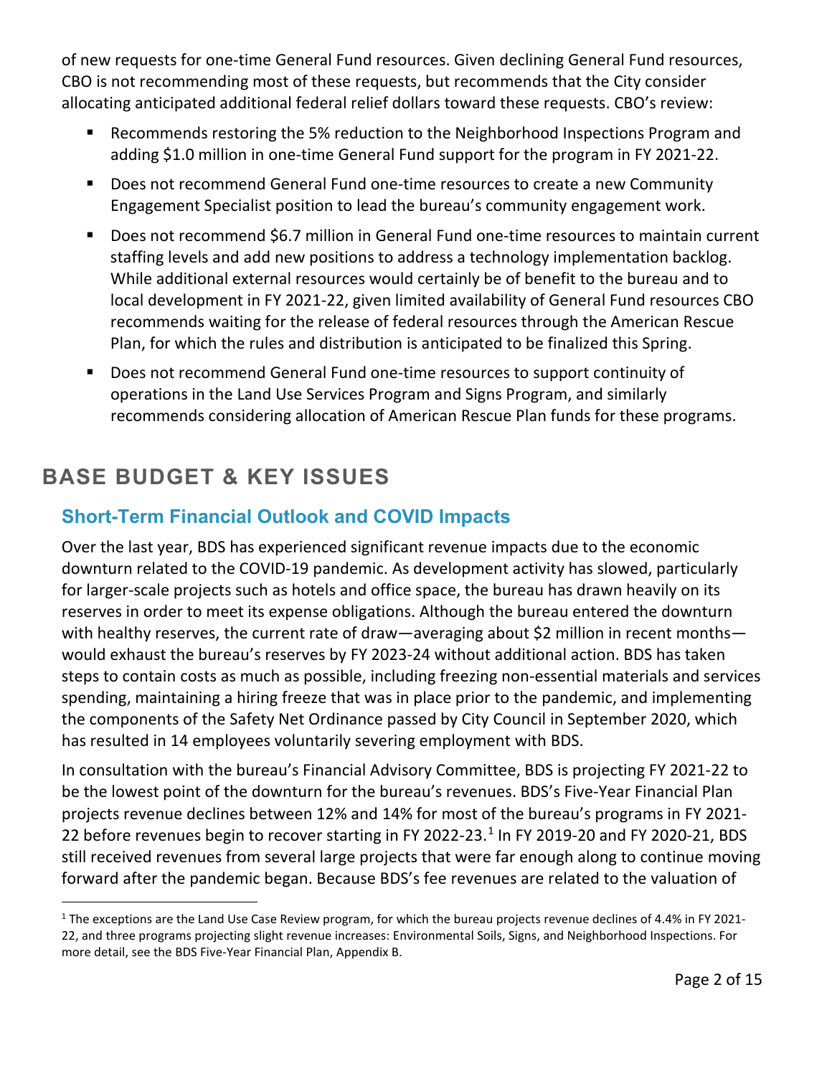of new requests for one-time General Fund resources. Given declining General Fund resources, CBO is not recommending most of these requests, but recommends that the City consider allocating anticipated additional federal relief dollars toward these requests. CBO's review:

- Recommends restoring the 5% reduction to the Neighborhood Inspections Program and adding \$1.0 million in one-time General Fund support for the program in FY 2021-22.
- Does not recommend General Fund one-time resources to create a new Community Engagement Specialist position to lead the bureau's community engagement work.
- Does not recommend \$6.7 million in General Fund one-time resources to maintain current staffing levels and add new positions to address a technology implementation backlog. While additional external resources would certainly be of benefit to the bureau and to local development in FY 2021-22, given limited availability of General Fund resources CBO recommends waiting for the release of federal resources through the American Rescue Plan, for which the rules and distribution is anticipated to be finalized this Spring.
- Does not recommend General Fund one-time resources to support continuity of operations in the Land Use Services Program and Signs Program, and similarly recommends considering allocation of American Rescue Plan funds for these programs.

# **BASE BUDGET & KEY ISSUES**

## **Short-Term Financial Outlook and COVID Impacts**

Over the last year, BDS has experienced significant revenue impacts due to the economic downturn related to the COVID-19 pandemic. As development activity has slowed, particularly for larger-scale projects such as hotels and office space, the bureau has drawn heavily on its reserves in order to meet its expense obligations. Although the bureau entered the downturn with healthy reserves, the current rate of draw—averaging about \$2 million in recent months would exhaust the bureau's reserves by FY 2023-24 without additional action. BDS has taken steps to contain costs as much as possible, including freezing non-essential materials and services spending, maintaining a hiring freeze that was in place prior to the pandemic, and implementing the components of the Safety Net Ordinance passed by City Council in September 2020, which has resulted in 14 employees voluntarily severing employment with BDS.

In consultation with the bureau's Financial Advisory Committee, BDS is projecting FY 2021-22 to be the lowest point of the downturn for the bureau's revenues. BDS's Five-Year Financial Plan projects revenue declines between 12% and 14% for most of the bureau's programs in FY 2021- 22 before revenues begin to recover starting in FY 2022-23. $<sup>1</sup>$  $<sup>1</sup>$  $<sup>1</sup>$  In FY 2019-20 and FY 2020-21, BDS</sup> still received revenues from several large projects that were far enough along to continue moving forward after the pandemic began. Because BDS's fee revenues are related to the valuation of

<span id="page-1-0"></span> $1$  The exceptions are the Land Use Case Review program, for which the bureau projects revenue declines of 4.4% in FY 2021-22, and three programs projecting slight revenue increases: Environmental Soils, Signs, and Neighborhood Inspections. For more detail, see the BDS Five-Year Financial Plan, Appendix B.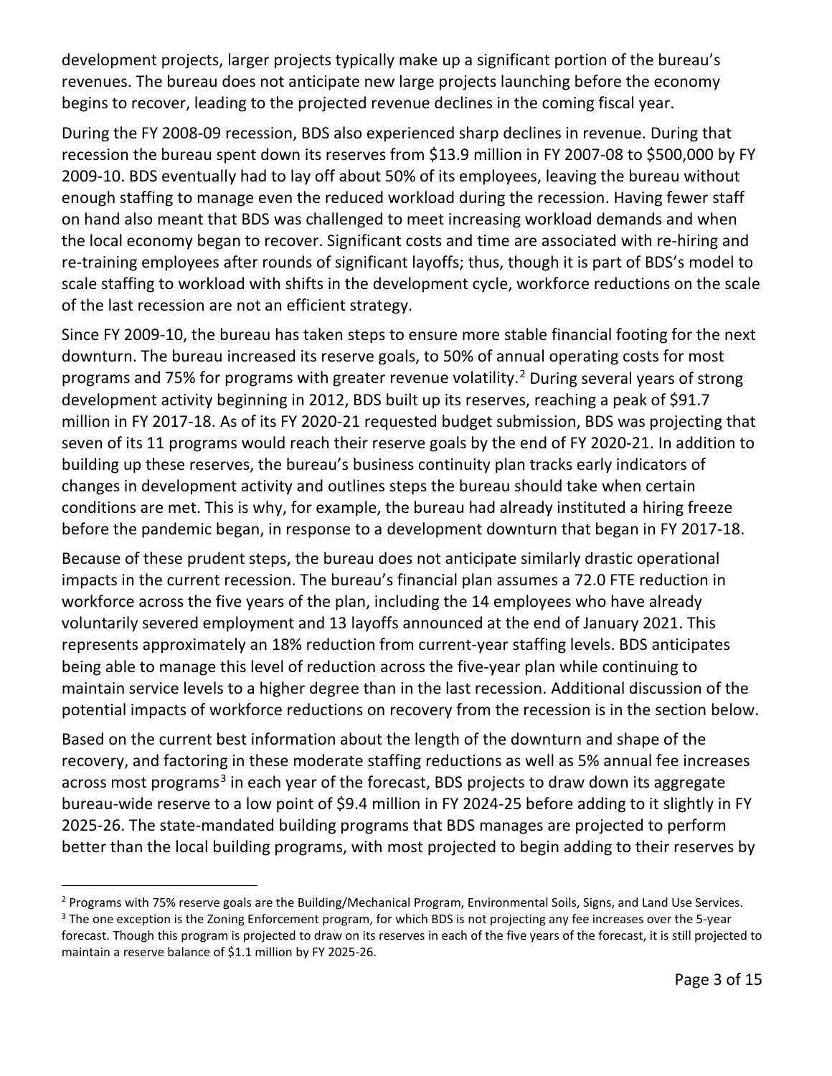development projects, larger projects typically make up a significant portion of the bureau's revenues. The bureau does not anticipate new large projects launching before the economy begins to recover, leading to the projected revenue declines in the coming fiscal year.

During the FY 2008-09 recession, BDS also experienced sharp declines in revenue. During that recession the bureau spent down its reserves from \$13.9 million in FY 2007-08 to \$500,000 by FY 2009-10. BDS eventually had to lay off about 50% of its employees, leaving the bureau without enough staffing to manage even the reduced workload during the recession. Having fewer staff on hand also meant that BDS was challenged to meet increasing workload demands and when the local economy began to recover. Significant costs and time are associated with re-hiring and re-training employees after rounds of significant layoffs; thus, though it is part of BDS's model to scale staffing to workload with shifts in the development cycle, workforce reductions on the scale of the last recession are not an efficient strategy.

Since FY 2009-10, the bureau has taken steps to ensure more stable financial footing for the next downturn. The bureau increased its reserve goals, to 50% of annual operating costs for most programs and 75% for programs with greater revenue volatility.<sup>[2](#page-2-0)</sup> During several years of strong development activity beginning in 2012, BDS built up its reserves, reaching a peak of \$91.7 million in FY 2017-18. As of its FY 2020-21 requested budget submission, BDS was projecting that seven of its 11 programs would reach their reserve goals by the end of FY 2020-21. In addition to building up these reserves, the bureau's business continuity plan tracks early indicators of changes in development activity and outlines steps the bureau should take when certain conditions are met. This is why, for example, the bureau had already instituted a hiring freeze before the pandemic began, in response to a development downturn that began in FY 2017-18.

Because of these prudent steps, the bureau does not anticipate similarly drastic operational impacts in the current recession. The bureau's financial plan assumes a 72.0 FTE reduction in workforce across the five years of the plan, including the 14 employees who have already voluntarily severed employment and 13 layoffs announced at the end of January 2021. This represents approximately an 18% reduction from current-year staffing levels. BDS anticipates being able to manage this level of reduction across the five-year plan while continuing to maintain service levels to a higher degree than in the last recession. Additional discussion of the potential impacts of workforce reductions on recovery from the recession is in the section below.

Based on the current best information about the length of the downturn and shape of the recovery, and factoring in these moderate staffing reductions as well as 5% annual fee increases across most programs<sup>[3](#page-2-1)</sup> in each year of the forecast, BDS projects to draw down its aggregate bureau-wide reserve to a low point of \$9.4 million in FY 2024-25 before adding to it slightly in FY 2025-26. The state-mandated building programs that BDS manages are projected to perform better than the local building programs, with most projected to begin adding to their reserves by

<span id="page-2-1"></span><span id="page-2-0"></span><sup>&</sup>lt;sup>2</sup> Programs with 75% reserve goals are the Building/Mechanical Program, Environmental Soils, Signs, and Land Use Services. <sup>3</sup> The one exception is the Zoning Enforcement program, for which BDS is not projecting any fee increases over the 5-year forecast. Though this program is projected to draw on its reserves in each of the five years of the forecast, it is still projected to maintain a reserve balance of \$1.1 million by FY 2025-26.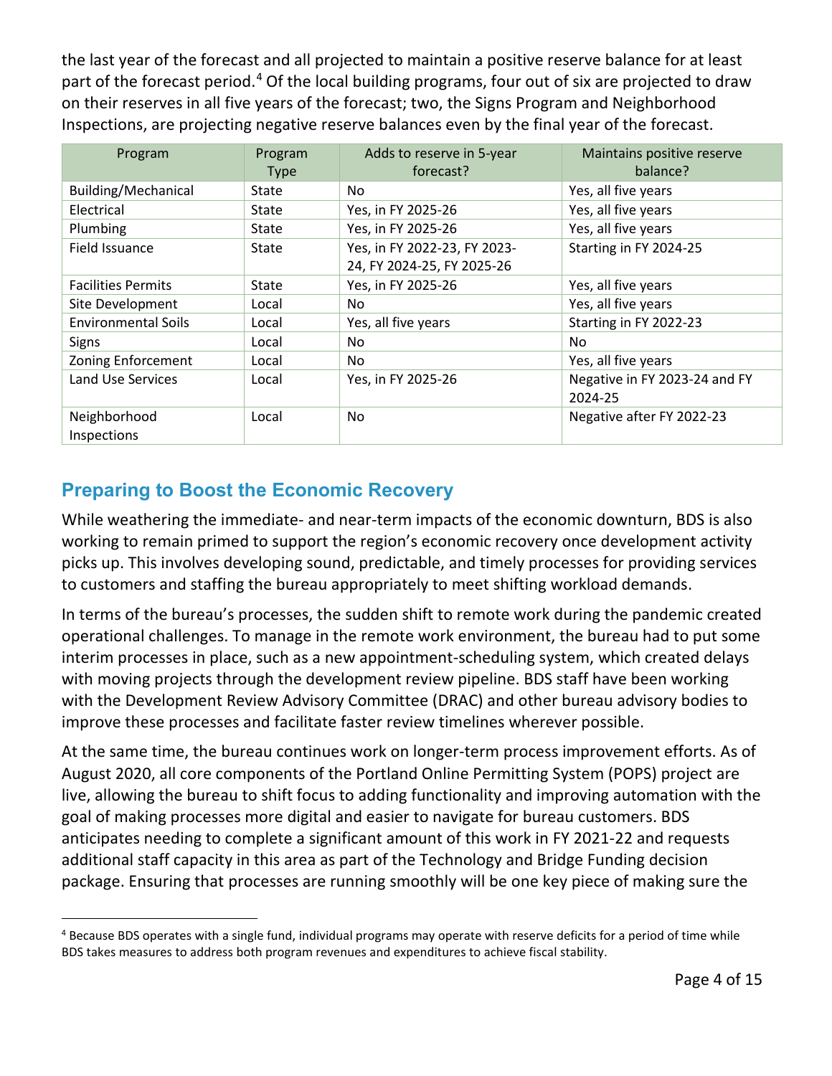the last year of the forecast and all projected to maintain a positive reserve balance for at least part of the forecast period.<sup>[4](#page-3-0)</sup> Of the local building programs, four out of six are projected to draw on their reserves in all five years of the forecast; two, the Signs Program and Neighborhood Inspections, are projecting negative reserve balances even by the final year of the forecast.

| Program                    | Program     | Adds to reserve in 5-year    | Maintains positive reserve    |  |
|----------------------------|-------------|------------------------------|-------------------------------|--|
|                            | <b>Type</b> | forecast?                    | balance?                      |  |
| Building/Mechanical        | State       | No                           | Yes, all five years           |  |
| Electrical                 | State       | Yes, in FY 2025-26           | Yes, all five years           |  |
| Plumbing                   | State       | Yes, in FY 2025-26           | Yes, all five years           |  |
| Field Issuance             | State       | Yes, in FY 2022-23, FY 2023- | Starting in FY 2024-25        |  |
|                            |             | 24, FY 2024-25, FY 2025-26   |                               |  |
| <b>Facilities Permits</b>  | State       | Yes, in FY 2025-26           | Yes, all five years           |  |
| Site Development           | Local       | No.                          | Yes, all five years           |  |
| <b>Environmental Soils</b> | Local       | Yes, all five years          | Starting in FY 2022-23        |  |
| <b>Signs</b>               | Local       | No                           | No.                           |  |
| <b>Zoning Enforcement</b>  | Local       | No                           | Yes, all five years           |  |
| Land Use Services          | Local       | Yes, in FY 2025-26           | Negative in FY 2023-24 and FY |  |
|                            |             |                              | 2024-25                       |  |
| Neighborhood               | Local       | No.                          | Negative after FY 2022-23     |  |
| Inspections                |             |                              |                               |  |

## **Preparing to Boost the Economic Recovery**

While weathering the immediate- and near-term impacts of the economic downturn, BDS is also working to remain primed to support the region's economic recovery once development activity picks up. This involves developing sound, predictable, and timely processes for providing services to customers and staffing the bureau appropriately to meet shifting workload demands.

In terms of the bureau's processes, the sudden shift to remote work during the pandemic created operational challenges. To manage in the remote work environment, the bureau had to put some interim processes in place, such as a new appointment-scheduling system, which created delays with moving projects through the development review pipeline. BDS staff have been working with the Development Review Advisory Committee (DRAC) and other bureau advisory bodies to improve these processes and facilitate faster review timelines wherever possible.

At the same time, the bureau continues work on longer-term process improvement efforts. As of August 2020, all core components of the Portland Online Permitting System (POPS) project are live, allowing the bureau to shift focus to adding functionality and improving automation with the goal of making processes more digital and easier to navigate for bureau customers. BDS anticipates needing to complete a significant amount of this work in FY 2021-22 and requests additional staff capacity in this area as part of the Technology and Bridge Funding decision package. Ensuring that processes are running smoothly will be one key piece of making sure the

<span id="page-3-0"></span><sup>&</sup>lt;sup>4</sup> Because BDS operates with a single fund, individual programs may operate with reserve deficits for a period of time while BDS takes measures to address both program revenues and expenditures to achieve fiscal stability.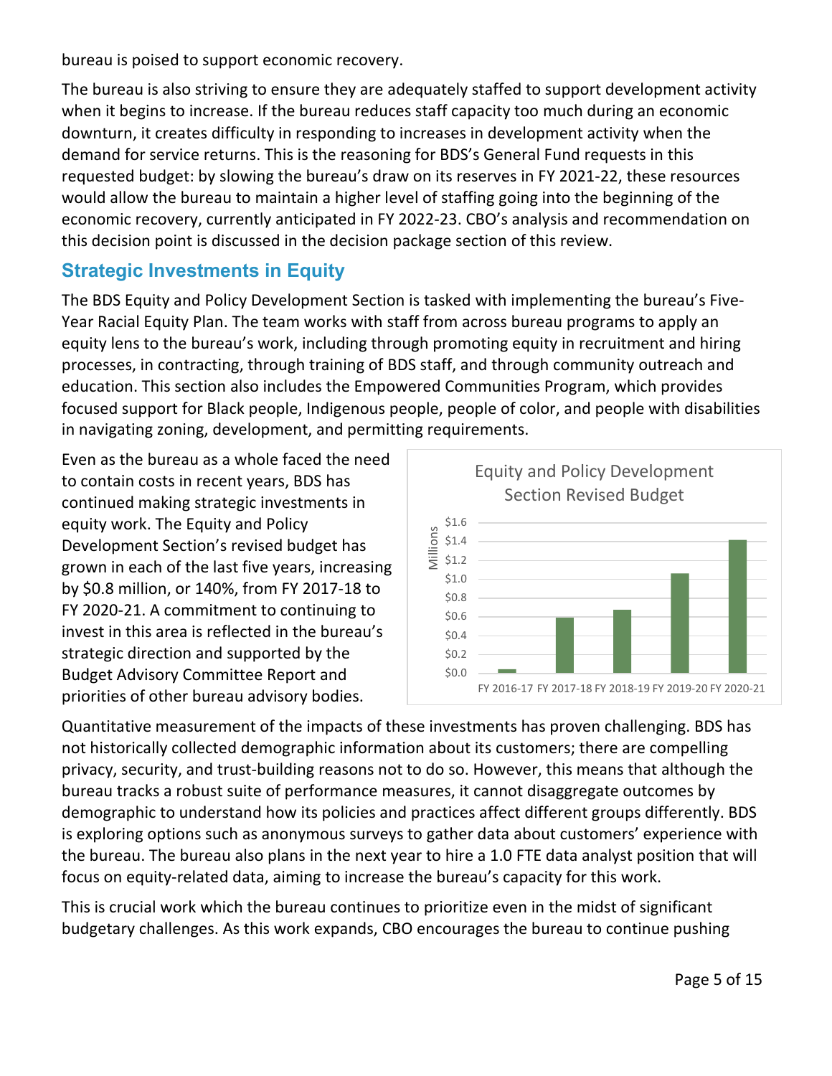bureau is poised to support economic recovery.

The bureau is also striving to ensure they are adequately staffed to support development activity when it begins to increase. If the bureau reduces staff capacity too much during an economic downturn, it creates difficulty in responding to increases in development activity when the demand for service returns. This is the reasoning for BDS's General Fund requests in this requested budget: by slowing the bureau's draw on its reserves in FY 2021-22, these resources would allow the bureau to maintain a higher level of staffing going into the beginning of the economic recovery, currently anticipated in FY 2022-23. CBO's analysis and recommendation on this decision point is discussed in the decision package section of this review.

## **Strategic Investments in Equity**

The BDS Equity and Policy Development Section is tasked with implementing the bureau's Five-Year Racial Equity Plan. The team works with staff from across bureau programs to apply an equity lens to the bureau's work, including through promoting equity in recruitment and hiring processes, in contracting, through training of BDS staff, and through community outreach and education. This section also includes the Empowered Communities Program, which provides focused support for Black people, Indigenous people, people of color, and people with disabilities in navigating zoning, development, and permitting requirements.

Even as the bureau as a whole faced the need to contain costs in recent years, BDS has continued making strategic investments in equity work. The Equity and Policy Development Section's revised budget has grown in each of the last five years, increasing by \$0.8 million, or 140%, from FY 2017-18 to FY 2020-21. A commitment to continuing to invest in this area is reflected in the bureau's strategic direction and supported by the Budget Advisory Committee Report and priorities of other bureau advisory bodies.



Quantitative measurement of the impacts of these investments has proven challenging. BDS has not historically collected demographic information about its customers; there are compelling privacy, security, and trust-building reasons not to do so. However, this means that although the bureau tracks a robust suite of performance measures, it cannot disaggregate outcomes by demographic to understand how its policies and practices affect different groups differently. BDS is exploring options such as anonymous surveys to gather data about customers' experience with the bureau. The bureau also plans in the next year to hire a 1.0 FTE data analyst position that will focus on equity-related data, aiming to increase the bureau's capacity for this work.

This is crucial work which the bureau continues to prioritize even in the midst of significant budgetary challenges. As this work expands, CBO encourages the bureau to continue pushing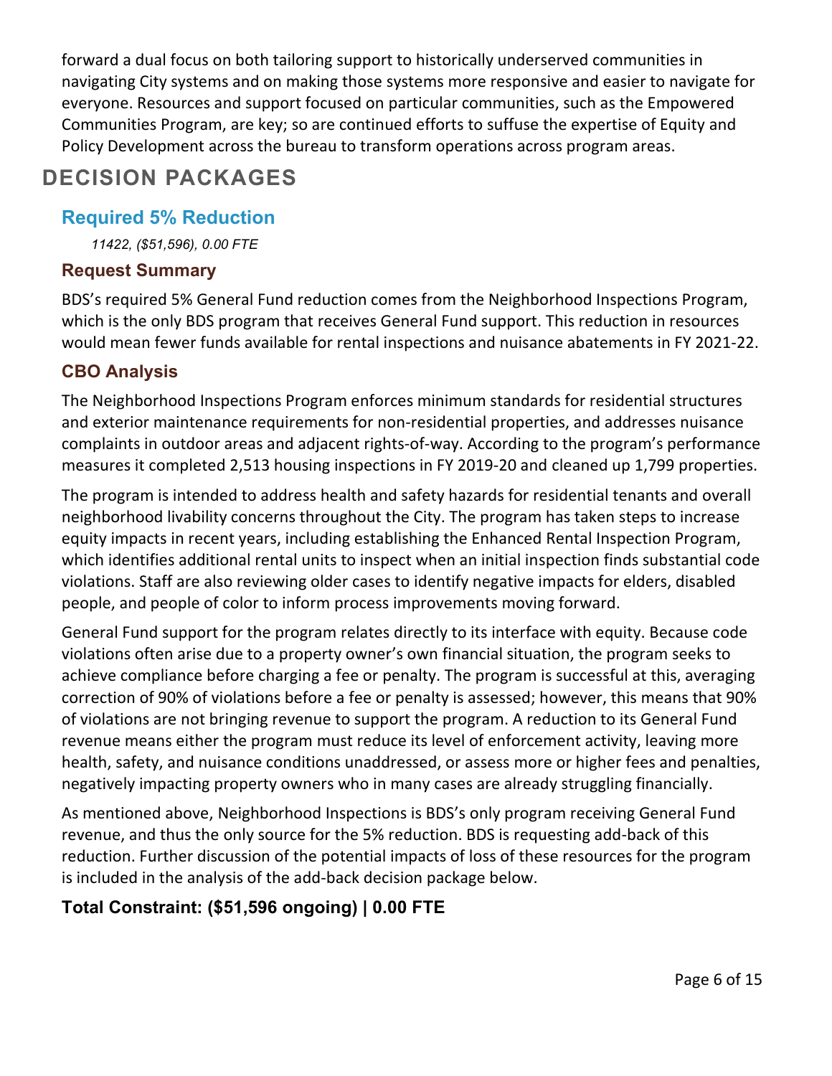forward a dual focus on both tailoring support to historically underserved communities in navigating City systems and on making those systems more responsive and easier to navigate for everyone. Resources and support focused on particular communities, such as the Empowered Communities Program, are key; so are continued efforts to suffuse the expertise of Equity and Policy Development across the bureau to transform operations across program areas.

## **DECISION PACKAGES**

#### **Required 5% Reduction**

*11422, (\$51,596), 0.00 FTE*

#### **Request Summary**

BDS's required 5% General Fund reduction comes from the Neighborhood Inspections Program, which is the only BDS program that receives General Fund support. This reduction in resources would mean fewer funds available for rental inspections and nuisance abatements in FY 2021-22.

#### **CBO Analysis**

The Neighborhood Inspections Program enforces minimum standards for residential structures and exterior maintenance requirements for non-residential properties, and addresses nuisance complaints in outdoor areas and adjacent rights-of-way. According to the program's performance measures it completed 2,513 housing inspections in FY 2019-20 and cleaned up 1,799 properties.

The program is intended to address health and safety hazards for residential tenants and overall neighborhood livability concerns throughout the City. The program has taken steps to increase equity impacts in recent years, including establishing the Enhanced Rental Inspection Program, which identifies additional rental units to inspect when an initial inspection finds substantial code violations. Staff are also reviewing older cases to identify negative impacts for elders, disabled people, and people of color to inform process improvements moving forward.

General Fund support for the program relates directly to its interface with equity. Because code violations often arise due to a property owner's own financial situation, the program seeks to achieve compliance before charging a fee or penalty. The program is successful at this, averaging correction of 90% of violations before a fee or penalty is assessed; however, this means that 90% of violations are not bringing revenue to support the program. A reduction to its General Fund revenue means either the program must reduce its level of enforcement activity, leaving more health, safety, and nuisance conditions unaddressed, or assess more or higher fees and penalties, negatively impacting property owners who in many cases are already struggling financially.

As mentioned above, Neighborhood Inspections is BDS's only program receiving General Fund revenue, and thus the only source for the 5% reduction. BDS is requesting add-back of this reduction. Further discussion of the potential impacts of loss of these resources for the program is included in the analysis of the add-back decision package below.

### **Total Constraint: (\$51,596 ongoing) | 0.00 FTE**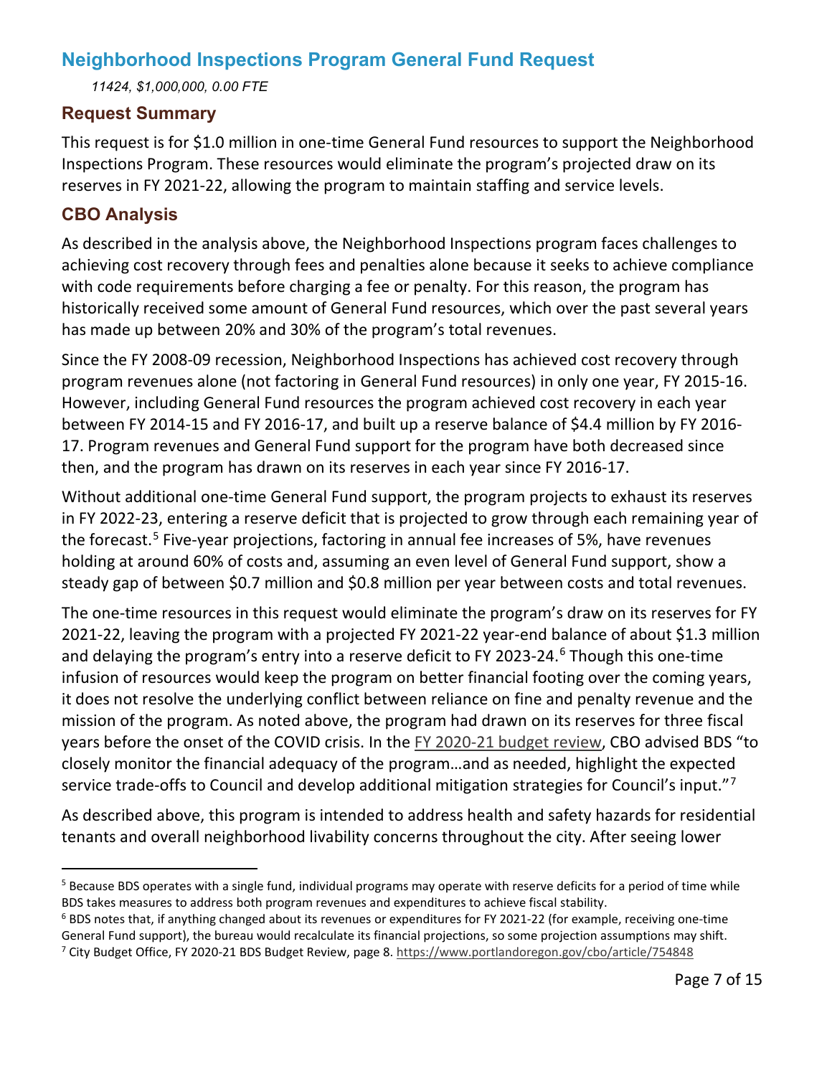## **Neighborhood Inspections Program General Fund Request**

*11424, \$1,000,000, 0.00 FTE*

#### **Request Summary**

This request is for \$1.0 million in one-time General Fund resources to support the Neighborhood Inspections Program. These resources would eliminate the program's projected draw on its reserves in FY 2021-22, allowing the program to maintain staffing and service levels.

#### **CBO Analysis**

As described in the analysis above, the Neighborhood Inspections program faces challenges to achieving cost recovery through fees and penalties alone because it seeks to achieve compliance with code requirements before charging a fee or penalty. For this reason, the program has historically received some amount of General Fund resources, which over the past several years has made up between 20% and 30% of the program's total revenues.

Since the FY 2008-09 recession, Neighborhood Inspections has achieved cost recovery through program revenues alone (not factoring in General Fund resources) in only one year, FY 2015-16. However, including General Fund resources the program achieved cost recovery in each year between FY 2014-15 and FY 2016-17, and built up a reserve balance of \$4.4 million by FY 2016- 17. Program revenues and General Fund support for the program have both decreased since then, and the program has drawn on its reserves in each year since FY 2016-17.

Without additional one-time General Fund support, the program projects to exhaust its reserves in FY 2022-23, entering a reserve deficit that is projected to grow through each remaining year of the forecast.<sup>[5](#page-6-0)</sup> Five-year projections, factoring in annual fee increases of 5%, have revenues holding at around 60% of costs and, assuming an even level of General Fund support, show a steady gap of between \$0.7 million and \$0.8 million per year between costs and total revenues.

The one-time resources in this request would eliminate the program's draw on its reserves for FY 2021-22, leaving the program with a projected FY 2021-22 year-end balance of about \$1.3 million and delaying the program's entry into a reserve deficit to FY 2023-24.<sup>[6](#page-6-1)</sup> Though this one-time infusion of resources would keep the program on better financial footing over the coming years, it does not resolve the underlying conflict between reliance on fine and penalty revenue and the mission of the program. As noted above, the program had drawn on its reserves for three fiscal years before the onset of the COVID crisis. In the [FY 2020-21 budget review,](https://www.portlandoregon.gov/cbo/article/754848) CBO advised BDS "to closely monitor the financial adequacy of the program…and as needed, highlight the expected service trade-offs to Council and develop additional mitigation strategies for Council's input."<sup>[7](#page-6-2)</sup>

As described above, this program is intended to address health and safety hazards for residential tenants and overall neighborhood livability concerns throughout the city. After seeing lower

<span id="page-6-0"></span><sup>&</sup>lt;sup>5</sup> Because BDS operates with a single fund, individual programs may operate with reserve deficits for a period of time while BDS takes measures to address both program revenues and expenditures to achieve fiscal stability.

<span id="page-6-2"></span><span id="page-6-1"></span> $6$  BDS notes that, if anything changed about its revenues or expenditures for FY 2021-22 (for example, receiving one-time General Fund support), the bureau would recalculate its financial projections, so some projection assumptions may shift. <sup>7</sup> City Budget Office, FY 2020-21 BDS Budget Review, page 8.<https://www.portlandoregon.gov/cbo/article/754848>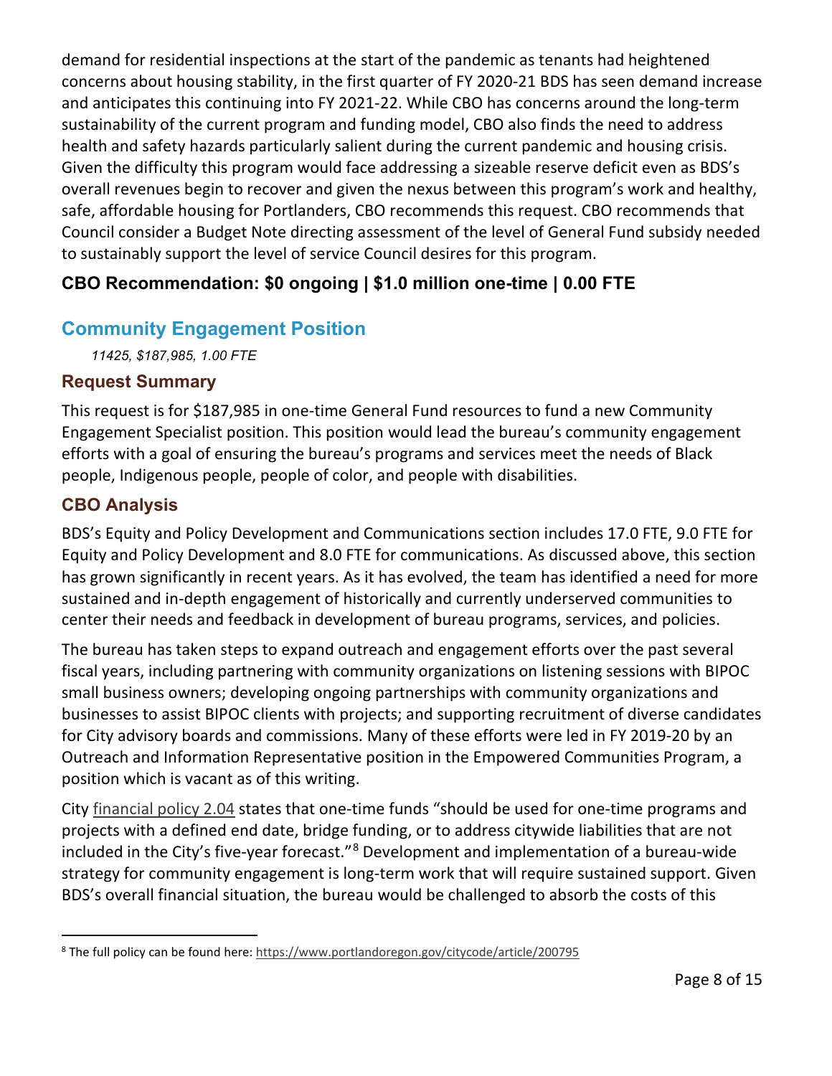demand for residential inspections at the start of the pandemic as tenants had heightened concerns about housing stability, in the first quarter of FY 2020-21 BDS has seen demand increase and anticipates this continuing into FY 2021-22. While CBO has concerns around the long-term sustainability of the current program and funding model, CBO also finds the need to address health and safety hazards particularly salient during the current pandemic and housing crisis. Given the difficulty this program would face addressing a sizeable reserve deficit even as BDS's overall revenues begin to recover and given the nexus between this program's work and healthy, safe, affordable housing for Portlanders, CBO recommends this request. CBO recommends that Council consider a Budget Note directing assessment of the level of General Fund subsidy needed to sustainably support the level of service Council desires for this program.

## **CBO Recommendation: \$0 ongoing | \$1.0 million one-time | 0.00 FTE**

## **Community Engagement Position**

*11425, \$187,985, 1.00 FTE*

#### **Request Summary**

This request is for \$187,985 in one-time General Fund resources to fund a new Community Engagement Specialist position. This position would lead the bureau's community engagement efforts with a goal of ensuring the bureau's programs and services meet the needs of Black people, Indigenous people, people of color, and people with disabilities.

#### **CBO Analysis**

BDS's Equity and Policy Development and Communications section includes 17.0 FTE, 9.0 FTE for Equity and Policy Development and 8.0 FTE for communications. As discussed above, this section has grown significantly in recent years. As it has evolved, the team has identified a need for more sustained and in-depth engagement of historically and currently underserved communities to center their needs and feedback in development of bureau programs, services, and policies.

The bureau has taken steps to expand outreach and engagement efforts over the past several fiscal years, including partnering with community organizations on listening sessions with BIPOC small business owners; developing ongoing partnerships with community organizations and businesses to assist BIPOC clients with projects; and supporting recruitment of diverse candidates for City advisory boards and commissions. Many of these efforts were led in FY 2019-20 by an Outreach and Information Representative position in the Empowered Communities Program, a position which is vacant as of this writing.

City [financial policy 2.04](https://www.portlandoregon.gov/citycode/article/200795) states that one-time funds "should be used for one-time programs and projects with a defined end date, bridge funding, or to address citywide liabilities that are not included in the City's five-year forecast."[8](#page-7-0) Development and implementation of a bureau-wide strategy for community engagement is long-term work that will require sustained support. Given BDS's overall financial situation, the bureau would be challenged to absorb the costs of this

<span id="page-7-0"></span><sup>&</sup>lt;sup>8</sup> The full policy can be found here[: https://www.portlandoregon.gov/citycode/article/200795](https://www.portlandoregon.gov/citycode/article/200795)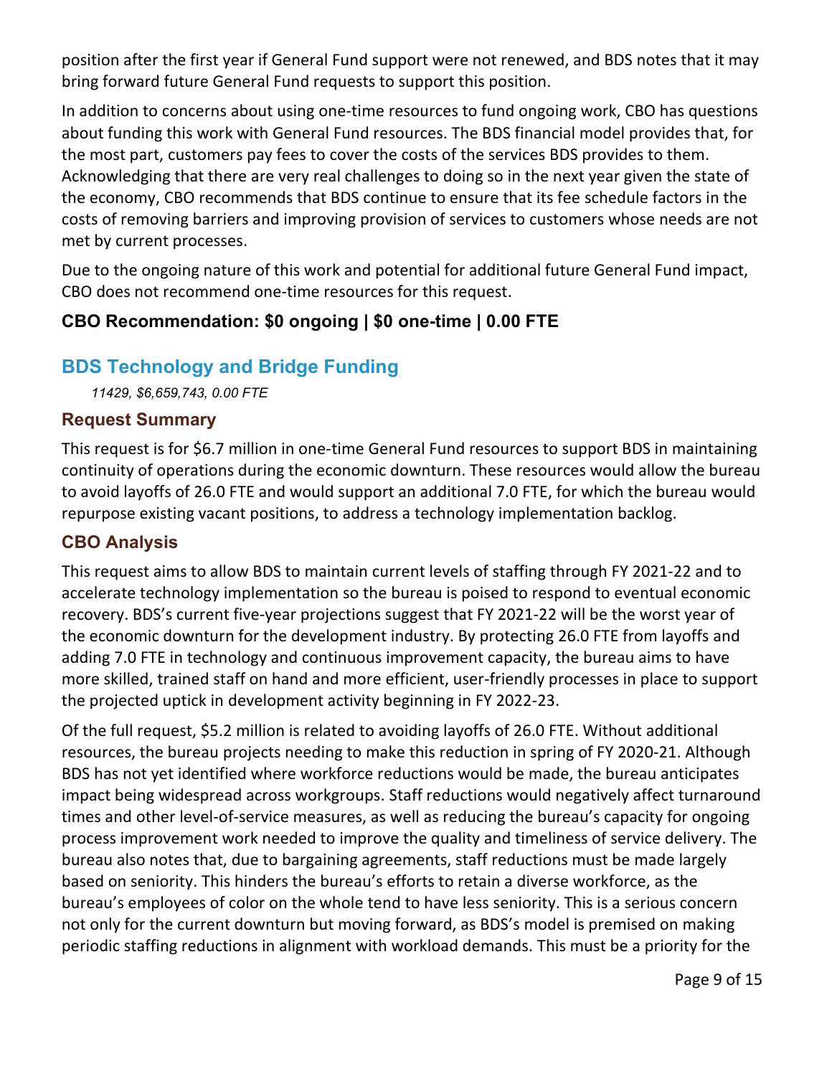position after the first year if General Fund support were not renewed, and BDS notes that it may bring forward future General Fund requests to support this position.

In addition to concerns about using one-time resources to fund ongoing work, CBO has questions about funding this work with General Fund resources. The BDS financial model provides that, for the most part, customers pay fees to cover the costs of the services BDS provides to them. Acknowledging that there are very real challenges to doing so in the next year given the state of the economy, CBO recommends that BDS continue to ensure that its fee schedule factors in the costs of removing barriers and improving provision of services to customers whose needs are not met by current processes.

Due to the ongoing nature of this work and potential for additional future General Fund impact, CBO does not recommend one-time resources for this request.

## **CBO Recommendation: \$0 ongoing | \$0 one-time | 0.00 FTE**

## **BDS Technology and Bridge Funding**

*11429, \$6,659,743, 0.00 FTE*

#### **Request Summary**

This request is for \$6.7 million in one-time General Fund resources to support BDS in maintaining continuity of operations during the economic downturn. These resources would allow the bureau to avoid layoffs of 26.0 FTE and would support an additional 7.0 FTE, for which the bureau would repurpose existing vacant positions, to address a technology implementation backlog.

#### **CBO Analysis**

This request aims to allow BDS to maintain current levels of staffing through FY 2021-22 and to accelerate technology implementation so the bureau is poised to respond to eventual economic recovery. BDS's current five-year projections suggest that FY 2021-22 will be the worst year of the economic downturn for the development industry. By protecting 26.0 FTE from layoffs and adding 7.0 FTE in technology and continuous improvement capacity, the bureau aims to have more skilled, trained staff on hand and more efficient, user-friendly processes in place to support the projected uptick in development activity beginning in FY 2022-23.

Of the full request, \$5.2 million is related to avoiding layoffs of 26.0 FTE. Without additional resources, the bureau projects needing to make this reduction in spring of FY 2020-21. Although BDS has not yet identified where workforce reductions would be made, the bureau anticipates impact being widespread across workgroups. Staff reductions would negatively affect turnaround times and other level-of-service measures, as well as reducing the bureau's capacity for ongoing process improvement work needed to improve the quality and timeliness of service delivery. The bureau also notes that, due to bargaining agreements, staff reductions must be made largely based on seniority. This hinders the bureau's efforts to retain a diverse workforce, as the bureau's employees of color on the whole tend to have less seniority. This is a serious concern not only for the current downturn but moving forward, as BDS's model is premised on making periodic staffing reductions in alignment with workload demands. This must be a priority for the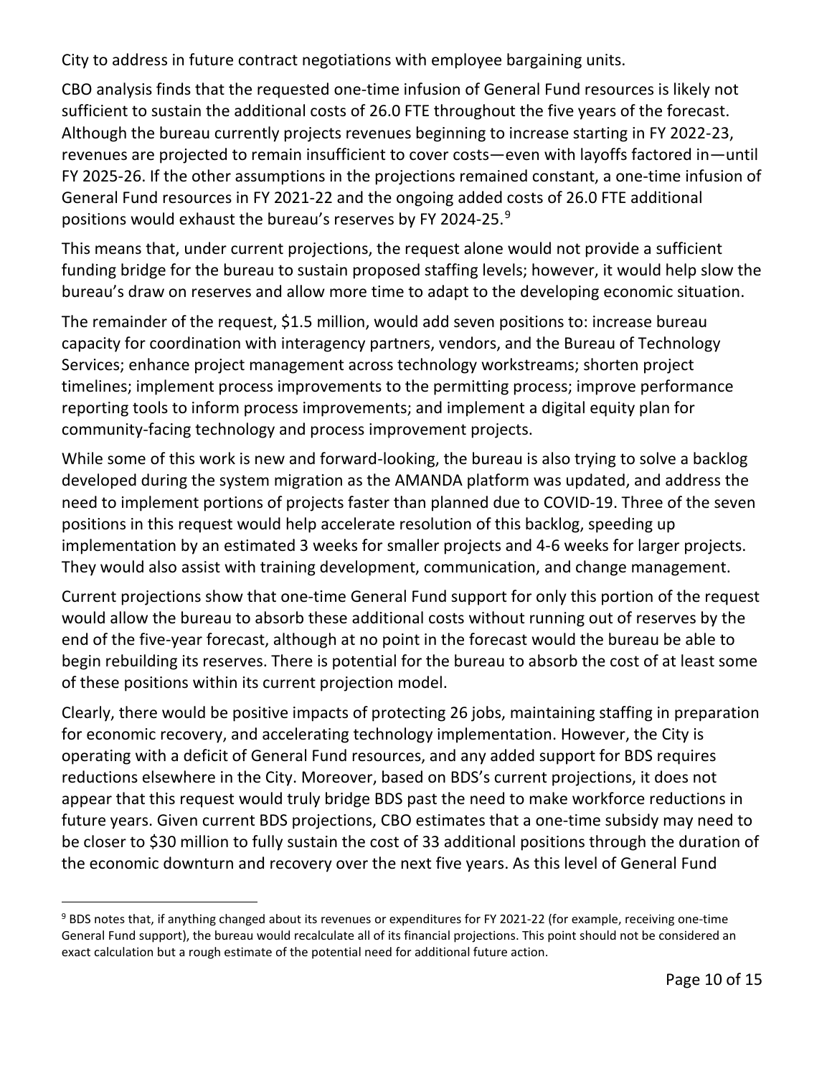City to address in future contract negotiations with employee bargaining units.

CBO analysis finds that the requested one-time infusion of General Fund resources is likely not sufficient to sustain the additional costs of 26.0 FTE throughout the five years of the forecast. Although the bureau currently projects revenues beginning to increase starting in FY 2022-23, revenues are projected to remain insufficient to cover costs—even with layoffs factored in—until FY 2025-26. If the other assumptions in the projections remained constant, a one-time infusion of General Fund resources in FY 2021-22 and the ongoing added costs of 26.0 FTE additional positions would exhaust the bureau's reserves by FY 2024-25.<sup>[9](#page-9-0)</sup>

This means that, under current projections, the request alone would not provide a sufficient funding bridge for the bureau to sustain proposed staffing levels; however, it would help slow the bureau's draw on reserves and allow more time to adapt to the developing economic situation.

The remainder of the request, \$1.5 million, would add seven positions to: increase bureau capacity for coordination with interagency partners, vendors, and the Bureau of Technology Services; enhance project management across technology workstreams; shorten project timelines; implement process improvements to the permitting process; improve performance reporting tools to inform process improvements; and implement a digital equity plan for community-facing technology and process improvement projects.

While some of this work is new and forward-looking, the bureau is also trying to solve a backlog developed during the system migration as the AMANDA platform was updated, and address the need to implement portions of projects faster than planned due to COVID-19. Three of the seven positions in this request would help accelerate resolution of this backlog, speeding up implementation by an estimated 3 weeks for smaller projects and 4-6 weeks for larger projects. They would also assist with training development, communication, and change management.

Current projections show that one-time General Fund support for only this portion of the request would allow the bureau to absorb these additional costs without running out of reserves by the end of the five-year forecast, although at no point in the forecast would the bureau be able to begin rebuilding its reserves. There is potential for the bureau to absorb the cost of at least some of these positions within its current projection model.

Clearly, there would be positive impacts of protecting 26 jobs, maintaining staffing in preparation for economic recovery, and accelerating technology implementation. However, the City is operating with a deficit of General Fund resources, and any added support for BDS requires reductions elsewhere in the City. Moreover, based on BDS's current projections, it does not appear that this request would truly bridge BDS past the need to make workforce reductions in future years. Given current BDS projections, CBO estimates that a one-time subsidy may need to be closer to \$30 million to fully sustain the cost of 33 additional positions through the duration of the economic downturn and recovery over the next five years. As this level of General Fund

<span id="page-9-0"></span><sup>&</sup>lt;sup>9</sup> BDS notes that, if anything changed about its revenues or expenditures for FY 2021-22 (for example, receiving one-time General Fund support), the bureau would recalculate all of its financial projections. This point should not be considered an exact calculation but a rough estimate of the potential need for additional future action.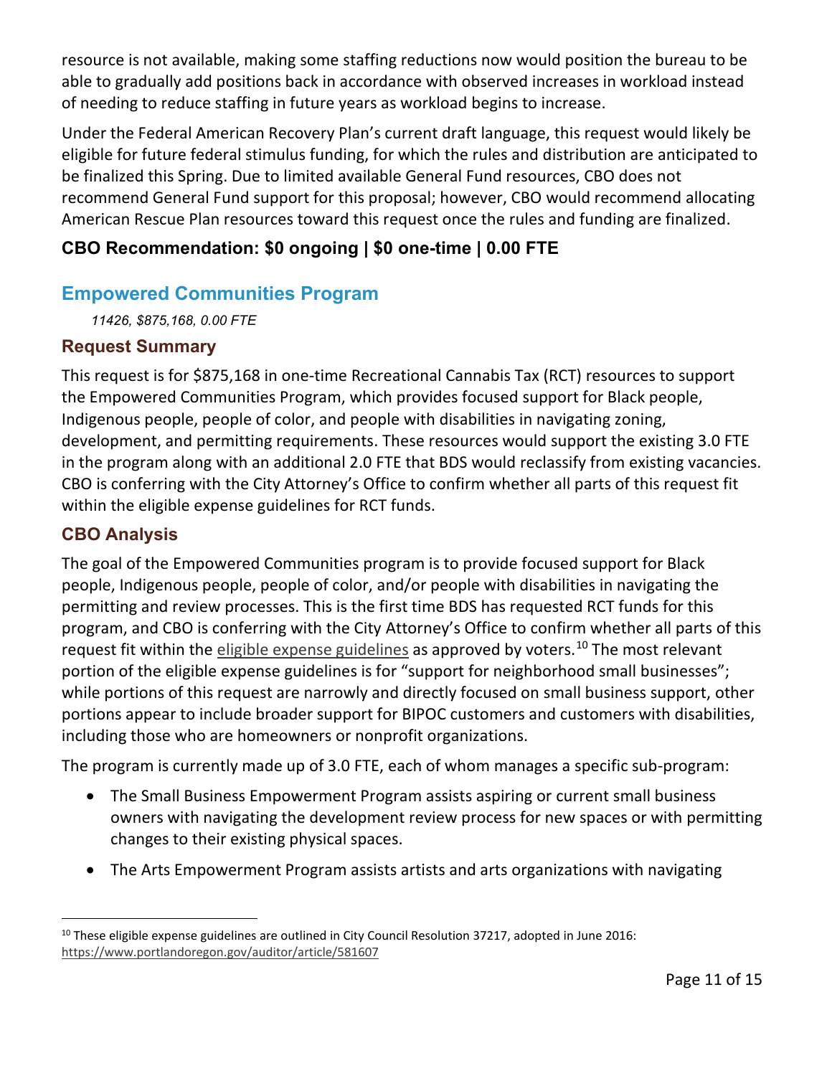resource is not available, making some staffing reductions now would position the bureau to be able to gradually add positions back in accordance with observed increases in workload instead of needing to reduce staffing in future years as workload begins to increase.

Under the Federal American Recovery Plan's current draft language, this request would likely be eligible for future federal stimulus funding, for which the rules and distribution are anticipated to be finalized this Spring. Due to limited available General Fund resources, CBO does not recommend General Fund support for this proposal; however, CBO would recommend allocating American Rescue Plan resources toward this request once the rules and funding are finalized.

## **CBO Recommendation: \$0 ongoing | \$0 one-time | 0.00 FTE**

## **Empowered Communities Program**

*11426, \$875,168, 0.00 FTE*

#### **Request Summary**

This request is for \$875,168 in one-time Recreational Cannabis Tax (RCT) resources to support the Empowered Communities Program, which provides focused support for Black people, Indigenous people, people of color, and people with disabilities in navigating zoning, development, and permitting requirements. These resources would support the existing 3.0 FTE in the program along with an additional 2.0 FTE that BDS would reclassify from existing vacancies. CBO is conferring with the City Attorney's Office to confirm whether all parts of this request fit within the eligible expense guidelines for RCT funds.

### **CBO Analysis**

The goal of the Empowered Communities program is to provide focused support for Black people, Indigenous people, people of color, and/or people with disabilities in navigating the permitting and review processes. This is the first time BDS has requested RCT funds for this program, and CBO is conferring with the City Attorney's Office to confirm whether all parts of this request fit within the [eligible expense guidelines](https://www.portlandoregon.gov/auditor/article/581607) as approved by voters.<sup>[10](#page-10-0)</sup> The most relevant portion of the eligible expense guidelines is for "support for neighborhood small businesses"; while portions of this request are narrowly and directly focused on small business support, other portions appear to include broader support for BIPOC customers and customers with disabilities, including those who are homeowners or nonprofit organizations.

The program is currently made up of 3.0 FTE, each of whom manages a specific sub-program:

- The Small Business Empowerment Program assists aspiring or current small business owners with navigating the development review process for new spaces or with permitting changes to their existing physical spaces.
- The Arts Empowerment Program assists artists and arts organizations with navigating

<span id="page-10-0"></span> $10$  These eligible expense guidelines are outlined in City Council Resolution 37217, adopted in June 2016: <https://www.portlandoregon.gov/auditor/article/581607>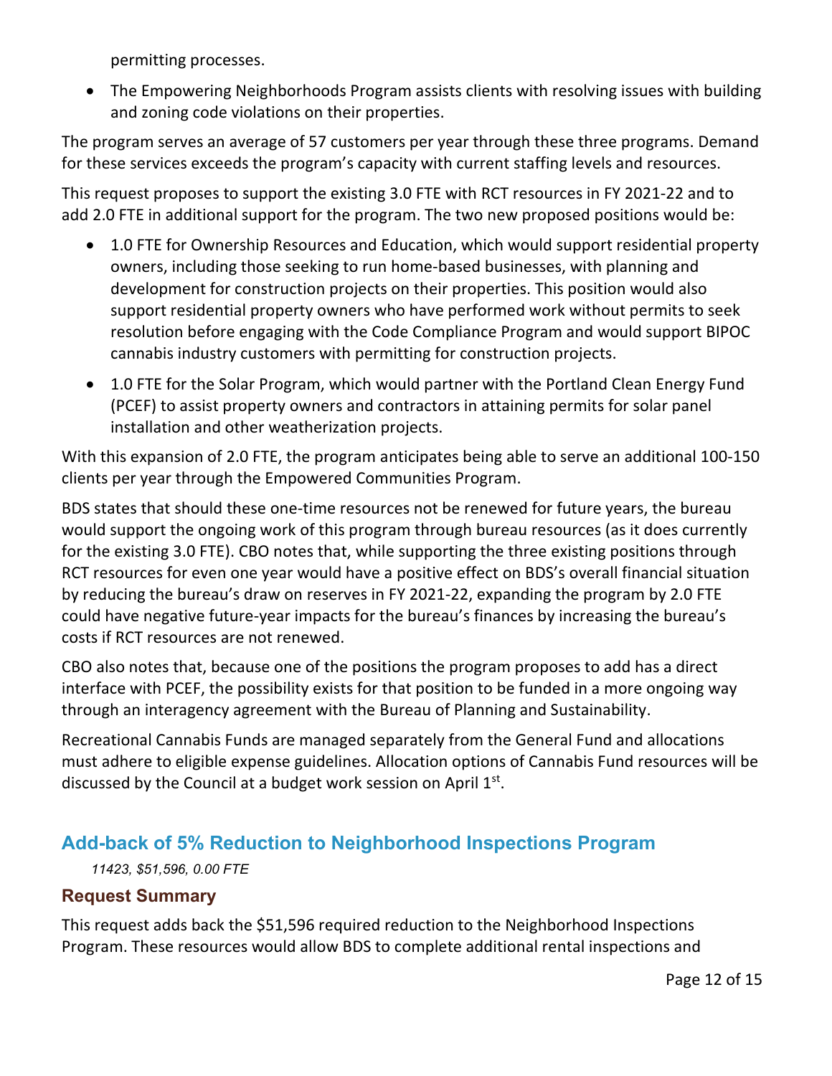permitting processes.

• The Empowering Neighborhoods Program assists clients with resolving issues with building and zoning code violations on their properties.

The program serves an average of 57 customers per year through these three programs. Demand for these services exceeds the program's capacity with current staffing levels and resources.

This request proposes to support the existing 3.0 FTE with RCT resources in FY 2021-22 and to add 2.0 FTE in additional support for the program. The two new proposed positions would be:

- 1.0 FTE for Ownership Resources and Education, which would support residential property owners, including those seeking to run home-based businesses, with planning and development for construction projects on their properties. This position would also support residential property owners who have performed work without permits to seek resolution before engaging with the Code Compliance Program and would support BIPOC cannabis industry customers with permitting for construction projects.
- 1.0 FTE for the Solar Program, which would partner with the Portland Clean Energy Fund (PCEF) to assist property owners and contractors in attaining permits for solar panel installation and other weatherization projects.

With this expansion of 2.0 FTE, the program anticipates being able to serve an additional 100-150 clients per year through the Empowered Communities Program.

BDS states that should these one-time resources not be renewed for future years, the bureau would support the ongoing work of this program through bureau resources (as it does currently for the existing 3.0 FTE). CBO notes that, while supporting the three existing positions through RCT resources for even one year would have a positive effect on BDS's overall financial situation by reducing the bureau's draw on reserves in FY 2021-22, expanding the program by 2.0 FTE could have negative future-year impacts for the bureau's finances by increasing the bureau's costs if RCT resources are not renewed.

CBO also notes that, because one of the positions the program proposes to add has a direct interface with PCEF, the possibility exists for that position to be funded in a more ongoing way through an interagency agreement with the Bureau of Planning and Sustainability.

Recreational Cannabis Funds are managed separately from the General Fund and allocations must adhere to eligible expense guidelines. Allocation options of Cannabis Fund resources will be discussed by the Council at a budget work session on April  $1<sup>st</sup>$ .

## **Add-back of 5% Reduction to Neighborhood Inspections Program**

#### *11423, \$51,596, 0.00 FTE*

### **Request Summary**

This request adds back the \$51,596 required reduction to the Neighborhood Inspections Program. These resources would allow BDS to complete additional rental inspections and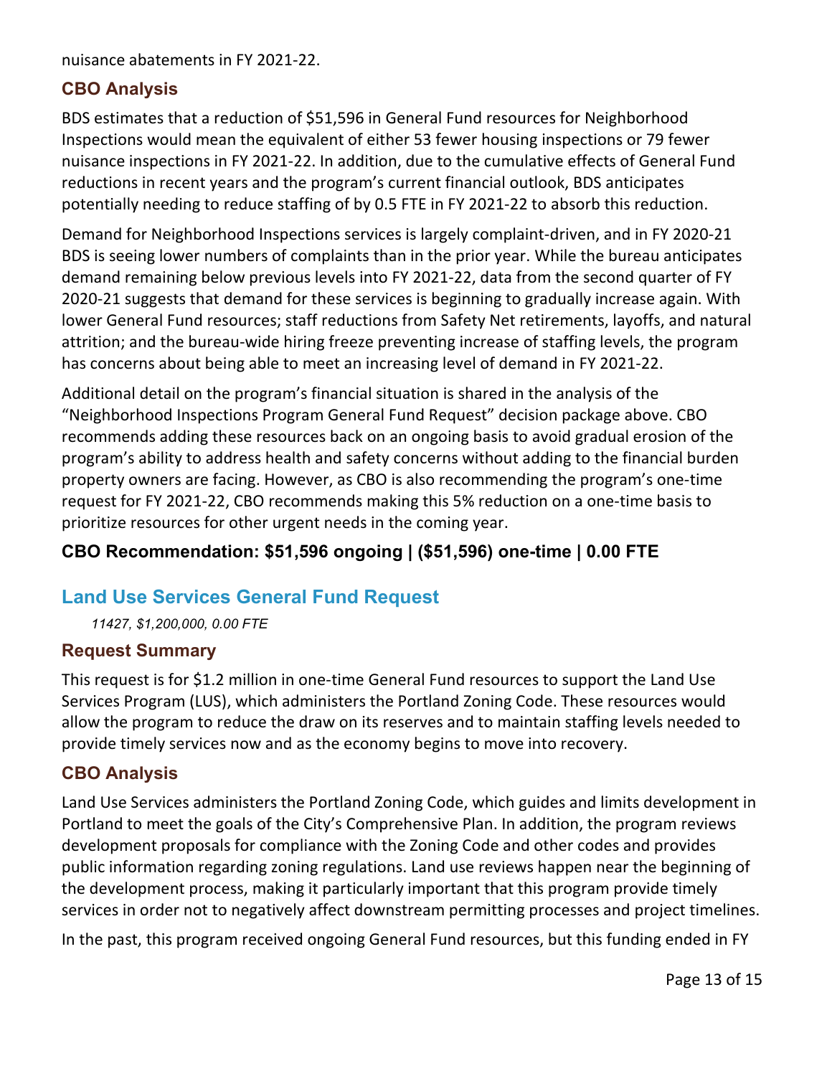nuisance abatements in FY 2021-22.

#### **CBO Analysis**

BDS estimates that a reduction of \$51,596 in General Fund resources for Neighborhood Inspections would mean the equivalent of either 53 fewer housing inspections or 79 fewer nuisance inspections in FY 2021-22. In addition, due to the cumulative effects of General Fund reductions in recent years and the program's current financial outlook, BDS anticipates potentially needing to reduce staffing of by 0.5 FTE in FY 2021-22 to absorb this reduction.

Demand for Neighborhood Inspections services is largely complaint-driven, and in FY 2020-21 BDS is seeing lower numbers of complaints than in the prior year. While the bureau anticipates demand remaining below previous levels into FY 2021-22, data from the second quarter of FY 2020-21 suggests that demand for these services is beginning to gradually increase again. With lower General Fund resources; staff reductions from Safety Net retirements, layoffs, and natural attrition; and the bureau-wide hiring freeze preventing increase of staffing levels, the program has concerns about being able to meet an increasing level of demand in FY 2021-22.

Additional detail on the program's financial situation is shared in the analysis of the "Neighborhood Inspections Program General Fund Request" decision package above. CBO recommends adding these resources back on an ongoing basis to avoid gradual erosion of the program's ability to address health and safety concerns without adding to the financial burden property owners are facing. However, as CBO is also recommending the program's one-time request for FY 2021-22, CBO recommends making this 5% reduction on a one-time basis to prioritize resources for other urgent needs in the coming year.

### **CBO Recommendation: \$51,596 ongoing | (\$51,596) one-time | 0.00 FTE**

### **Land Use Services General Fund Request**

*11427, \$1,200,000, 0.00 FTE*

#### **Request Summary**

This request is for \$1.2 million in one-time General Fund resources to support the Land Use Services Program (LUS), which administers the Portland Zoning Code. These resources would allow the program to reduce the draw on its reserves and to maintain staffing levels needed to provide timely services now and as the economy begins to move into recovery.

#### **CBO Analysis**

Land Use Services administers the Portland Zoning Code, which guides and limits development in Portland to meet the goals of the City's Comprehensive Plan. In addition, the program reviews development proposals for compliance with the Zoning Code and other codes and provides public information regarding zoning regulations. Land use reviews happen near the beginning of the development process, making it particularly important that this program provide timely services in order not to negatively affect downstream permitting processes and project timelines.

In the past, this program received ongoing General Fund resources, but this funding ended in FY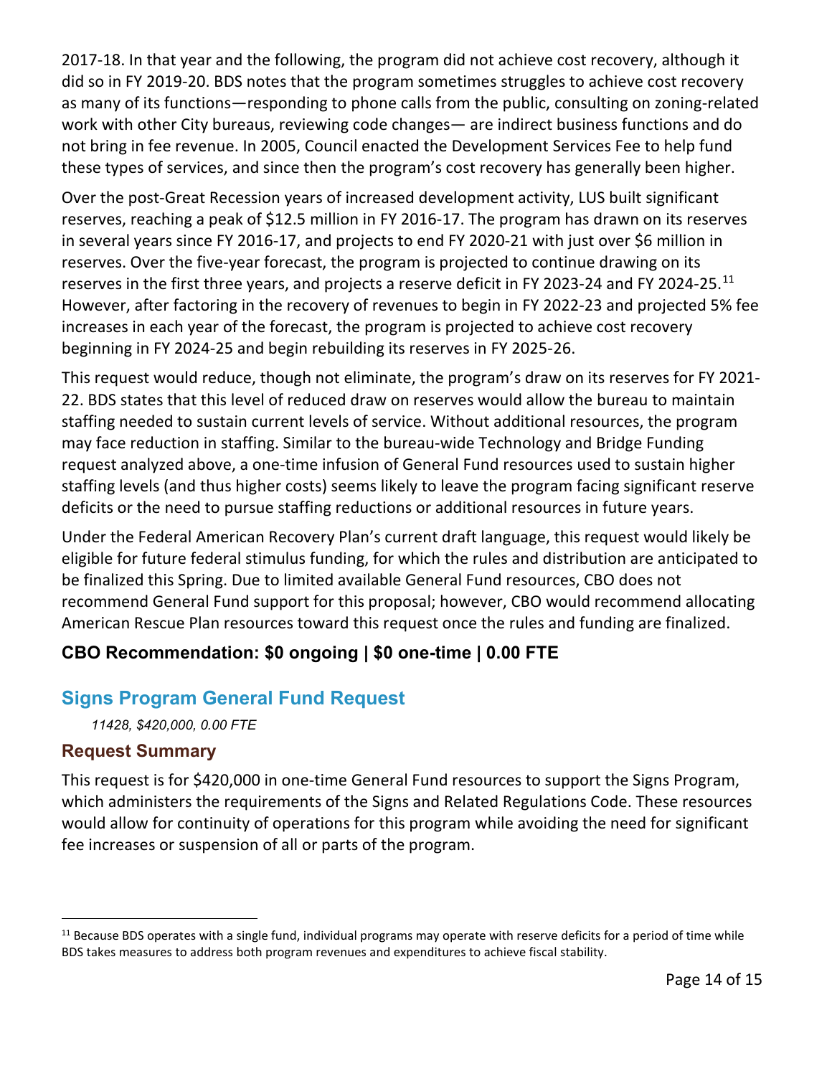2017-18. In that year and the following, the program did not achieve cost recovery, although it did so in FY 2019-20. BDS notes that the program sometimes struggles to achieve cost recovery as many of its functions—responding to phone calls from the public, consulting on zoning-related work with other City bureaus, reviewing code changes— are indirect business functions and do not bring in fee revenue. In 2005, Council enacted the Development Services Fee to help fund these types of services, and since then the program's cost recovery has generally been higher.

Over the post-Great Recession years of increased development activity, LUS built significant reserves, reaching a peak of \$12.5 million in FY 2016-17. The program has drawn on its reserves in several years since FY 2016-17, and projects to end FY 2020-21 with just over \$6 million in reserves. Over the five-year forecast, the program is projected to continue drawing on its reserves in the first three years, and projects a reserve deficit in FY 2023-24 and FY 2024-25.<sup>[11](#page-13-0)</sup> However, after factoring in the recovery of revenues to begin in FY 2022-23 and projected 5% fee increases in each year of the forecast, the program is projected to achieve cost recovery beginning in FY 2024-25 and begin rebuilding its reserves in FY 2025-26.

This request would reduce, though not eliminate, the program's draw on its reserves for FY 2021- 22. BDS states that this level of reduced draw on reserves would allow the bureau to maintain staffing needed to sustain current levels of service. Without additional resources, the program may face reduction in staffing. Similar to the bureau-wide Technology and Bridge Funding request analyzed above, a one-time infusion of General Fund resources used to sustain higher staffing levels (and thus higher costs) seems likely to leave the program facing significant reserve deficits or the need to pursue staffing reductions or additional resources in future years.

Under the Federal American Recovery Plan's current draft language, this request would likely be eligible for future federal stimulus funding, for which the rules and distribution are anticipated to be finalized this Spring. Due to limited available General Fund resources, CBO does not recommend General Fund support for this proposal; however, CBO would recommend allocating American Rescue Plan resources toward this request once the rules and funding are finalized.

## **CBO Recommendation: \$0 ongoing | \$0 one-time | 0.00 FTE**

## **Signs Program General Fund Request**

*11428, \$420,000, 0.00 FTE*

#### **Request Summary**

This request is for \$420,000 in one-time General Fund resources to support the Signs Program, which administers the requirements of the Signs and Related Regulations Code. These resources would allow for continuity of operations for this program while avoiding the need for significant fee increases or suspension of all or parts of the program.

<span id="page-13-0"></span> $11$  Because BDS operates with a single fund, individual programs may operate with reserve deficits for a period of time while BDS takes measures to address both program revenues and expenditures to achieve fiscal stability.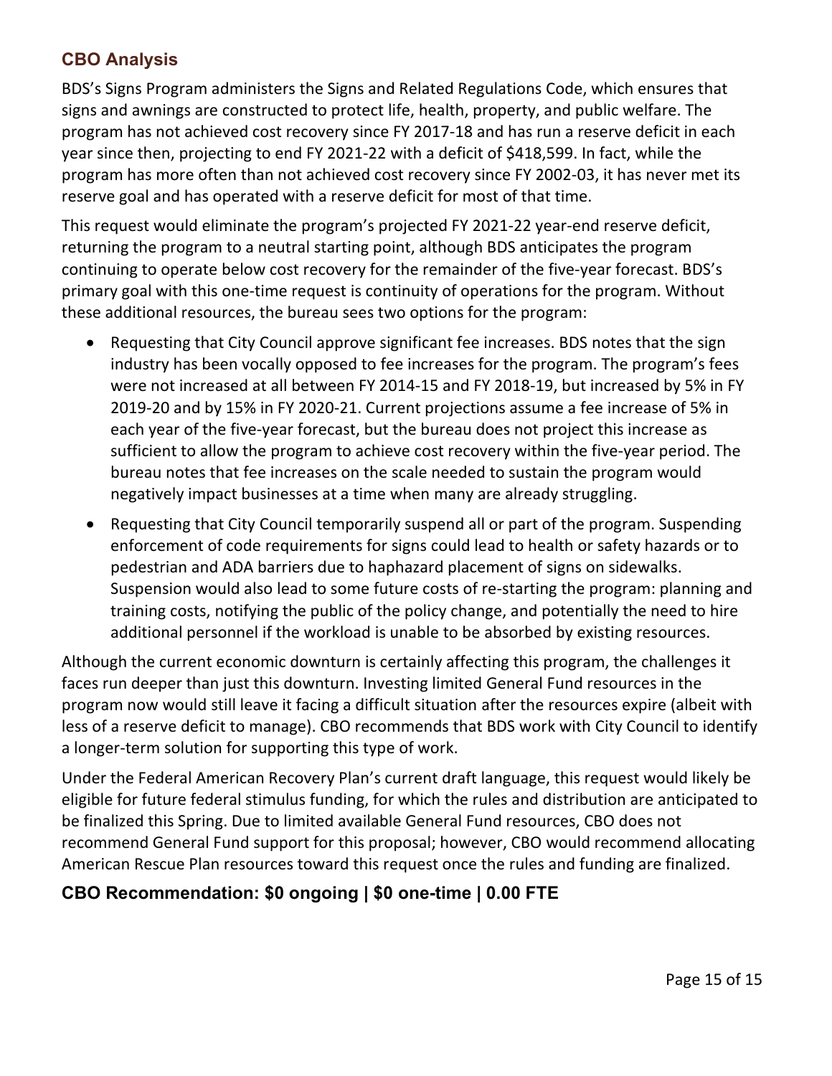### **CBO Analysis**

BDS's Signs Program administers the Signs and Related Regulations Code, which ensures that signs and awnings are constructed to protect life, health, property, and public welfare. The program has not achieved cost recovery since FY 2017-18 and has run a reserve deficit in each year since then, projecting to end FY 2021-22 with a deficit of \$418,599. In fact, while the program has more often than not achieved cost recovery since FY 2002-03, it has never met its reserve goal and has operated with a reserve deficit for most of that time.

This request would eliminate the program's projected FY 2021-22 year-end reserve deficit, returning the program to a neutral starting point, although BDS anticipates the program continuing to operate below cost recovery for the remainder of the five-year forecast. BDS's primary goal with this one-time request is continuity of operations for the program. Without these additional resources, the bureau sees two options for the program:

- Requesting that City Council approve significant fee increases. BDS notes that the sign industry has been vocally opposed to fee increases for the program. The program's fees were not increased at all between FY 2014-15 and FY 2018-19, but increased by 5% in FY 2019-20 and by 15% in FY 2020-21. Current projections assume a fee increase of 5% in each year of the five-year forecast, but the bureau does not project this increase as sufficient to allow the program to achieve cost recovery within the five-year period. The bureau notes that fee increases on the scale needed to sustain the program would negatively impact businesses at a time when many are already struggling.
- Requesting that City Council temporarily suspend all or part of the program. Suspending enforcement of code requirements for signs could lead to health or safety hazards or to pedestrian and ADA barriers due to haphazard placement of signs on sidewalks. Suspension would also lead to some future costs of re-starting the program: planning and training costs, notifying the public of the policy change, and potentially the need to hire additional personnel if the workload is unable to be absorbed by existing resources.

Although the current economic downturn is certainly affecting this program, the challenges it faces run deeper than just this downturn. Investing limited General Fund resources in the program now would still leave it facing a difficult situation after the resources expire (albeit with less of a reserve deficit to manage). CBO recommends that BDS work with City Council to identify a longer-term solution for supporting this type of work.

Under the Federal American Recovery Plan's current draft language, this request would likely be eligible for future federal stimulus funding, for which the rules and distribution are anticipated to be finalized this Spring. Due to limited available General Fund resources, CBO does not recommend General Fund support for this proposal; however, CBO would recommend allocating American Rescue Plan resources toward this request once the rules and funding are finalized.

## **CBO Recommendation: \$0 ongoing | \$0 one-time | 0.00 FTE**